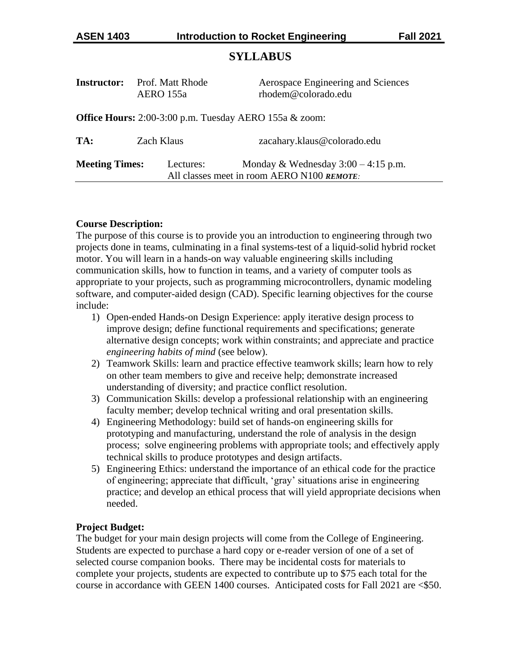# **SYLLABUS**

| <b>Instructor:</b>                                               | <b>Prof. Matt Rhode</b><br>AERO 155a | Aerospace Engineering and Sciences<br>rhodem@colorado.edu                           |  |  |  |  |  |
|------------------------------------------------------------------|--------------------------------------|-------------------------------------------------------------------------------------|--|--|--|--|--|
| <b>Office Hours:</b> 2:00-3:00 p.m. Tuesday AERO 155a $\&$ zoom: |                                      |                                                                                     |  |  |  |  |  |
| TA:                                                              | Zach Klaus                           | zacahary.klaus@colorado.edu                                                         |  |  |  |  |  |
| <b>Meeting Times:</b>                                            | Lectures:                            | Monday & Wednesday $3:00 - 4:15$ p.m.<br>All classes meet in room AERO N100 REMOTE: |  |  |  |  |  |

## **Course Description:**

The purpose of this course is to provide you an introduction to engineering through two projects done in teams, culminating in a final systems-test of a liquid-solid hybrid rocket motor. You will learn in a hands-on way valuable engineering skills including communication skills, how to function in teams, and a variety of computer tools as appropriate to your projects, such as programming microcontrollers, dynamic modeling software, and computer-aided design (CAD). Specific learning objectives for the course include:

- 1) Open-ended Hands-on Design Experience: apply iterative design process to improve design; define functional requirements and specifications; generate alternative design concepts; work within constraints; and appreciate and practice *engineering habits of mind* (see below).
- 2) Teamwork Skills: learn and practice effective teamwork skills; learn how to rely on other team members to give and receive help; demonstrate increased understanding of diversity; and practice conflict resolution.
- 3) Communication Skills: develop a professional relationship with an engineering faculty member; develop technical writing and oral presentation skills.
- 4) Engineering Methodology: build set of hands-on engineering skills for prototyping and manufacturing, understand the role of analysis in the design process; solve engineering problems with appropriate tools; and effectively apply technical skills to produce prototypes and design artifacts.
- 5) Engineering Ethics: understand the importance of an ethical code for the practice of engineering; appreciate that difficult, 'gray' situations arise in engineering practice; and develop an ethical process that will yield appropriate decisions when needed.

## **Project Budget:**

The budget for your main design projects will come from the College of Engineering. Students are expected to purchase a hard copy or e-reader version of one of a set of selected course companion books. There may be incidental costs for materials to complete your projects, students are expected to contribute up to \$75 each total for the course in accordance with GEEN 1400 courses. Anticipated costs for Fall 2021 are <\$50.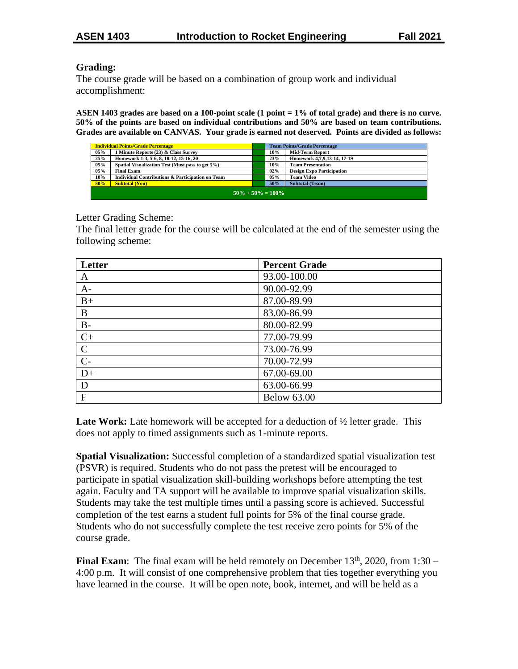### **Grading:**

The course grade will be based on a combination of group work and individual accomplishment:

**ASEN 1403 grades are based on a 100-point scale (1 point = 1% of total grade) and there is no curve. 50% of the points are based on individual contributions and 50% are based on team contributions. Grades are available on CANVAS. Your grade is earned not deserved. Points are divided as follows:** 

| <b>Individual Points/Grade Percentage</b> |                                                             |  | <b>Team Points/Grade Percentage</b> |                                  |  |  |
|-------------------------------------------|-------------------------------------------------------------|--|-------------------------------------|----------------------------------|--|--|
| 05%                                       | 1 Minute Reports (23) & Class Survey                        |  | 10%                                 | <b>Mid-Term Report</b>           |  |  |
| 25%                                       | Homework 1-3, 5-6, 8, 10-12, 15-16, 20                      |  | 23%                                 | Homework 4,7,9,13-14, 17-19      |  |  |
| 05%                                       | Spatial Visualization Test (Must pass to get 5%)            |  | 10%                                 | <b>Team Presentation</b>         |  |  |
| 05%                                       | <b>Final Exam</b>                                           |  | 02%                                 | <b>Design Expo Participation</b> |  |  |
| 10%                                       | <b>Individual Contributions &amp; Participation on Team</b> |  | 05%                                 | <b>Team Video</b>                |  |  |
| 50%                                       | <b>Subtotal (You)</b>                                       |  | 50%                                 | <b>Subtotal (Team)</b>           |  |  |
| $50\% + 50\% = 100\%$                     |                                                             |  |                                     |                                  |  |  |

Letter Grading Scheme:

The final letter grade for the course will be calculated at the end of the semester using the following scheme:

| Letter         | <b>Percent Grade</b> |
|----------------|----------------------|
| A              | 93.00-100.00         |
| $A-$           | 90.00-92.99          |
| $B+$           | 87.00-89.99          |
| B              | 83.00-86.99          |
| $B-$           | 80.00-82.99          |
| $C+$           | 77.00-79.99          |
| $\mathbf C$    | 73.00-76.99          |
| $\overline{C}$ | 70.00-72.99          |
| $D+$           | 67.00-69.00          |
| D              | 63.00-66.99          |
| $\mathbf{F}$   | <b>Below 63.00</b>   |

Late Work: Late homework will be accepted for a deduction of  $\frac{1}{2}$  letter grade. This does not apply to timed assignments such as 1-minute reports.

**Spatial Visualization:** Successful completion of a standardized spatial visualization test (PSVR) is required. Students who do not pass the pretest will be encouraged to participate in spatial visualization skill-building workshops before attempting the test again. Faculty and TA support will be available to improve spatial visualization skills. Students may take the test multiple times until a passing score is achieved. Successful completion of the test earns a student full points for 5% of the final course grade. Students who do not successfully complete the test receive zero points for 5% of the course grade.

**Final Exam**: The final exam will be held remotely on December  $13<sup>th</sup>$ , 2020, from  $1:30$  – 4:00 p.m. It will consist of one comprehensive problem that ties together everything you have learned in the course. It will be open note, book, internet, and will be held as a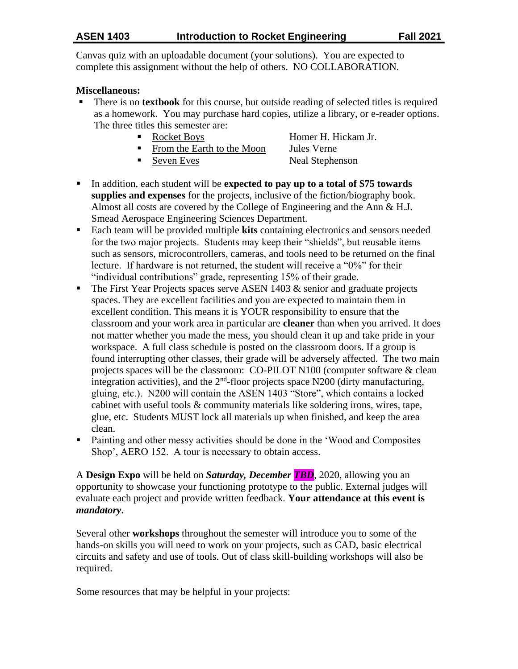Canvas quiz with an uploadable document (your solutions). You are expected to complete this assignment without the help of others. NO COLLABORATION.

# **Miscellaneous:**

- There is no **textbook** for this course, but outside reading of selected titles is required as a homework. You may purchase hard copies, utilize a library, or e-reader options. The three titles this semester are:
	-
	- From the Earth to the Moon Jules Verne
	- Seven Eves Neal Stephenson

Rocket Boys Homer H. Hickam Jr.

- In addition, each student will be **expected to pay up to a total of \$75 towards supplies and expenses** for the projects, inclusive of the fiction/biography book. Almost all costs are covered by the College of Engineering and the Ann & H.J. Smead Aerospace Engineering Sciences Department.
- Each team will be provided multiple **kits** containing electronics and sensors needed for the two major projects. Students may keep their "shields", but reusable items such as sensors, microcontrollers, cameras, and tools need to be returned on the final lecture. If hardware is not returned, the student will receive a "0%" for their "individual contributions" grade, representing 15% of their grade.
- $\blacksquare$  The First Year Projects spaces serve ASEN 1403 & senior and graduate projects spaces. They are excellent facilities and you are expected to maintain them in excellent condition. This means it is YOUR responsibility to ensure that the classroom and your work area in particular are **cleaner** than when you arrived. It does not matter whether you made the mess, you should clean it up and take pride in your workspace. A full class schedule is posted on the classroom doors. If a group is found interrupting other classes, their grade will be adversely affected. The two main projects spaces will be the classroom: CO-PILOT N100 (computer software & clean integration activities), and the  $2<sup>nd</sup>$ -floor projects space N200 (dirty manufacturing, gluing, etc.). N200 will contain the ASEN 1403 "Store", which contains a locked cabinet with useful tools & community materials like soldering irons, wires, tape, glue, etc. Students MUST lock all materials up when finished, and keep the area clean.
- Painting and other messy activities should be done in the 'Wood and Composites Shop', AERO 152. A tour is necessary to obtain access.

A **Design Expo** will be held on *Saturday, December TBD*, 2020, allowing you an opportunity to showcase your functioning prototype to the public. External judges will evaluate each project and provide written feedback. **Your attendance at this event is**  *mandatory***.**

Several other **workshops** throughout the semester will introduce you to some of the hands-on skills you will need to work on your projects, such as CAD, basic electrical circuits and safety and use of tools. Out of class skill-building workshops will also be required.

Some resources that may be helpful in your projects: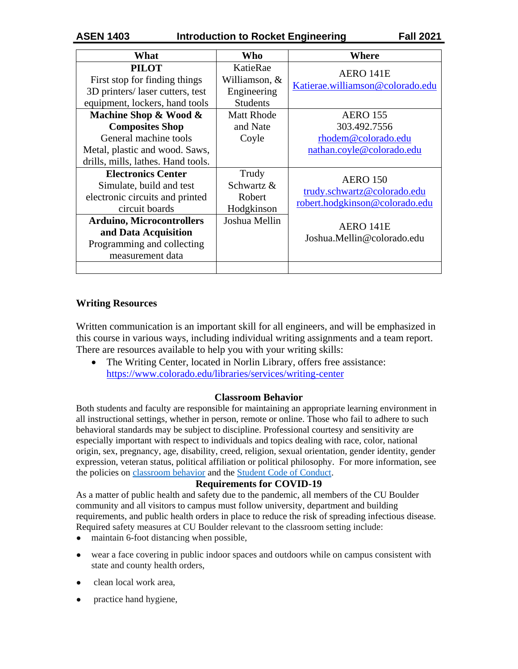| What                                                                                                                                                                                                                     | Who                                                          | Where                                                                                                                       |
|--------------------------------------------------------------------------------------------------------------------------------------------------------------------------------------------------------------------------|--------------------------------------------------------------|-----------------------------------------------------------------------------------------------------------------------------|
| <b>PILOT</b><br>First stop for finding things<br>3D printers/ laser cutters, test<br>equipment, lockers, hand tools                                                                                                      | KatieRae<br>Williamson, &<br>Engineering<br><b>Students</b>  | AERO 141E<br>Katierae.williamson@colorado.edu                                                                               |
| Machine Shop & Wood &<br><b>Composites Shop</b><br>General machine tools<br>Metal, plastic and wood. Saws,<br>drills, mills, lathes. Hand tools.                                                                         | <b>Matt Rhode</b><br>and Nate<br>Coyle                       | <b>AERO 155</b><br>303.492.7556<br>rhodem@colorado.edu<br>nathan.coyle@colorado.edu                                         |
| <b>Electronics Center</b><br>Simulate, build and test<br>electronic circuits and printed<br>circuit boards<br><b>Arduino, Microcontrollers</b><br>and Data Acquisition<br>Programming and collecting<br>measurement data | Trudy<br>Schwartz &<br>Robert<br>Hodgkinson<br>Joshua Mellin | <b>AERO</b> 150<br>trudy.schwartz@colorado.edu<br>robert.hodgkinson@colorado.edu<br>AERO 141E<br>Joshua.Mellin@colorado.edu |
|                                                                                                                                                                                                                          |                                                              |                                                                                                                             |

## **Writing Resources**

Written communication is an important skill for all engineers, and will be emphasized in this course in various ways, including individual writing assignments and a team report. There are resources available to help you with your writing skills:

 The Writing Center, located in Norlin Library, offers free assistance: <https://www.colorado.edu/libraries/services/writing-center>

## **Classroom Behavior**

Both students and faculty are responsible for maintaining an appropriate learning environment in all instructional settings, whether in person, remote or online. Those who fail to adhere to such behavioral standards may be subject to discipline. Professional courtesy and sensitivity are especially important with respect to individuals and topics dealing with race, color, national origin, sex, pregnancy, age, disability, creed, religion, sexual orientation, gender identity, gender expression, veteran status, political affiliation or political philosophy. For more information, see the policies on [classroom behavior](http://www.colorado.edu/policies/student-classroom-and-course-related-behavior) and the [Student Code of Conduct.](https://www.colorado.edu/sccr/sites/default/files/attached-files/2019-2020_student_code_of_conduct_0.pdf)

#### **Requirements for COVID-19**

As a matter of public health and safety due to the pandemic, all members of the CU Boulder community and all visitors to campus must follow university, department and building requirements, and public health orders in place to reduce the risk of spreading infectious disease. Required safety measures at CU Boulder relevant to the classroom setting include:

- maintain 6-foot distancing when possible,
- wear a face covering in public indoor spaces and outdoors while on campus consistent with state and county health orders,
- clean local work area.
- practice hand hygiene,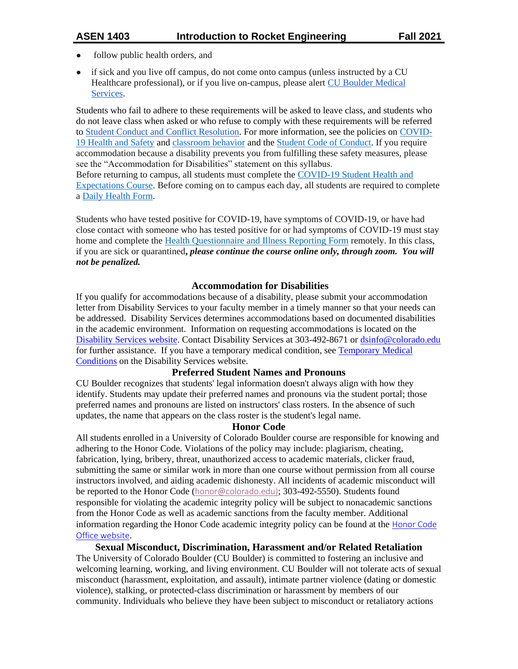- follow public health orders, and
- if sick and you live off campus, do not come onto campus (unless instructed by a CU Healthcare professional), or if you live on-campus, please alert [CU Boulder Medical](https://www.colorado.edu/healthcenter/coronavirus-updates/symptoms-and-what-do-if-you-feel-sick)  [Services.](https://www.colorado.edu/healthcenter/coronavirus-updates/symptoms-and-what-do-if-you-feel-sick)

Students who fail to adhere to these requirements will be asked to leave class, and students who do not leave class when asked or who refuse to comply with these requirements will be referred to [Student Conduct and Conflict Resolution.](https://www.colorado.edu/sccr/) For more information, see the policies on [COVID-](https://www.colorado.edu/policies/covid-19-health-and-safety-policy)[19 Health and Safety](https://www.colorado.edu/policies/covid-19-health-and-safety-policy) and [classroom behavior](http://www.colorado.edu/policies/student-classroom-and-course-related-behavior) and the [Student Code of Conduct.](http://www.colorado.edu/osccr/) If you require accommodation because a disability prevents you from fulfilling these safety measures, please see the "Accommodation for Disabilities" statement on this syllabus. Before returning to campus, all students must complete the [COVID-19 Student Health and](https://www.colorado.edu/protect-our-herd/how#anchor1) 

[Expectations Course.](https://www.colorado.edu/protect-our-herd/how#anchor1) Before coming on to campus each day, all students are required to complete a [Daily Health Form.](https://www.colorado.edu/protect-our-herd/daily-health-form)

Students who have tested positive for COVID-19, have symptoms of COVID-19, or have had close contact with someone who has tested positive for or had symptoms of COVID-19 must stay home and complete the [Health Questionnaire and Illness Reporting Form](https://www.colorado.edu/protect-our-herd/daily-health-form) remotely. In this class, if you are sick or quarantined**,** *please continue the course online only, through zoom. You will not be penalized.*

### **Accommodation for Disabilities**

If you qualify for accommodations because of a disability, please submit your accommodation letter from Disability Services to your faculty member in a timely manner so that your needs can be addressed. Disability Services determines accommodations based on documented disabilities in the academic environment. Information on requesting accommodations is located on the [Disability Services website.](https://www.colorado.edu/disabilityservices/) Contact Disability Services at 303-492-8671 or [dsinfo@colorado.edu](mailto:dsinfo@colorado.edu) for further assistance. If you have a temporary medical condition, see [Temporary Medical](http://www.colorado.edu/disabilityservices/students/temporary-medical-conditions)  [Conditions](http://www.colorado.edu/disabilityservices/students/temporary-medical-conditions) on the Disability Services website.

#### **Preferred Student Names and Pronouns**

CU Boulder recognizes that students' legal information doesn't always align with how they identify. Students may update their preferred names and pronouns via the student portal; those preferred names and pronouns are listed on instructors' class rosters. In the absence of such updates, the name that appears on the class roster is the student's legal name.

#### **Honor Code**

All students enrolled in a University of Colorado Boulder course are responsible for knowing and adhering to the Honor Code. Violations of the policy may include: plagiarism, cheating, fabrication, lying, bribery, threat, unauthorized access to academic materials, clicker fraud, submitting the same or similar work in more than one course without permission from all course instructors involved, and aiding academic dishonesty. All incidents of academic misconduct will be reported to the Honor Code ([honor@colorado.edu\)](mailto:honor@colorado.edu); 303-492-5550). Students found responsible for violating the academic integrity policy will be subject to nonacademic sanctions from the Honor Code as well as academic sanctions from the faculty member. Additional information regarding the Honor Code academic integrity policy can be found at the [Honor Code](https://www.colorado.edu/osccr/honor-code)  [Office website](https://www.colorado.edu/osccr/honor-code).

**Sexual Misconduct, Discrimination, Harassment and/or Related Retaliation**

The University of Colorado Boulder (CU Boulder) is committed to fostering an inclusive and welcoming learning, working, and living environment. CU Boulder will not tolerate acts of sexual misconduct (harassment, exploitation, and assault), intimate partner violence (dating or domestic violence), stalking, or protected-class discrimination or harassment by members of our community. Individuals who believe they have been subject to misconduct or retaliatory actions